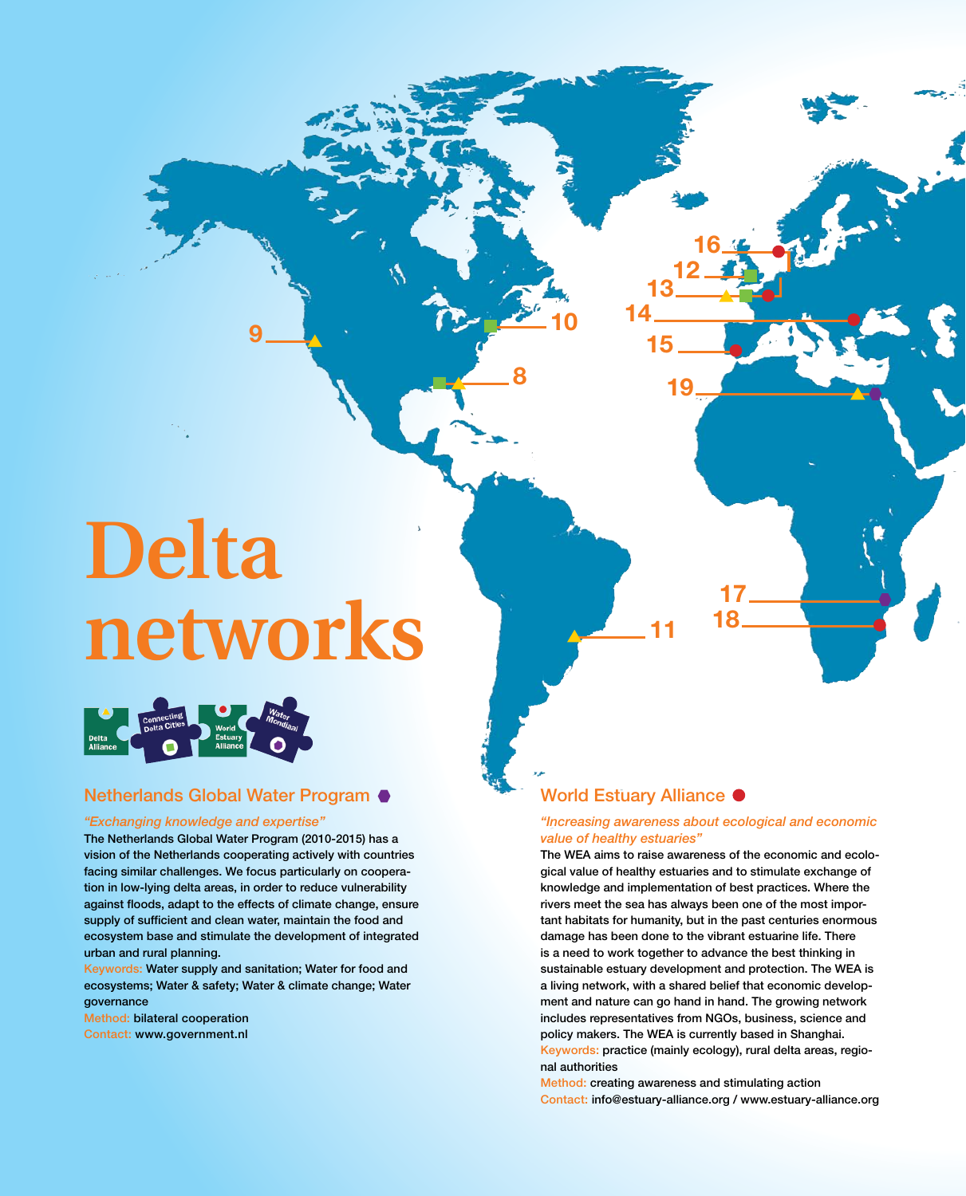# **Delta networks**

**9**



# Netherlands Global Water Program ●

### *"Exchanging knowledge and expertise"*

The Netherlands Global Water Program (2010-2015) has a vision of the Netherlands cooperating actively with countries facing similar challenges. We focus particularly on cooperation in low-lying delta areas, in order to reduce vulnerability against floods, adapt to the effects of climate change, ensure supply of sufficient and clean water, maintain the food and ecosystem base and stimulate the development of integrated urban and rural planning.

Keywords: Water supply and sanitation; Water for food and ecosystems; Water & safety; Water & climate change; Water governance

Method: bilateral cooperation Contact: www.government.nl

# World Estuary Alliance  $\bullet$

**11**

**8**

**10**

### *"Increasing awareness about ecological and economic value of healthy estuaries"*

**17 18**

**12**

**19**

**16**

**13**

**15**

**14**

The WEA aims to raise awareness of the economic and ecological value of healthy estuaries and to stimulate exchange of knowledge and implementation of best practices. Where the rivers meet the sea has always been one of the most important habitats for humanity, but in the past centuries enormous damage has been done to the vibrant estuarine life. There is a need to work together to advance the best thinking in sustainable estuary development and protection. The WEA is a living network, with a shared belief that economic development and nature can go hand in hand. The growing network includes representatives from NGOs, business, science and policy makers. The WEA is currently based in Shanghai. Keywords: practice (mainly ecology), rural delta areas, regional authorities

Method: creating awareness and stimulating action Contact: info@estuary-alliance.org / www.estuary-alliance.org